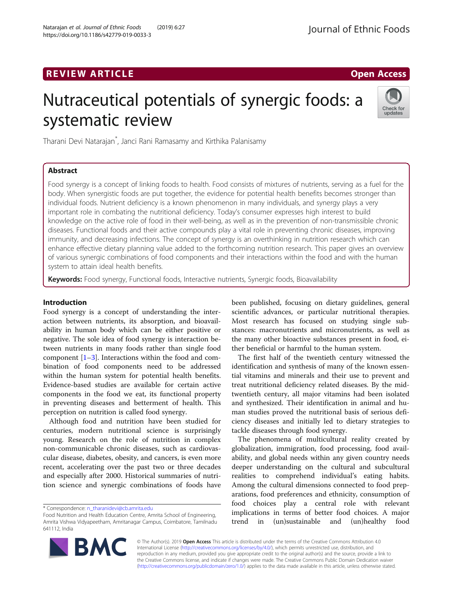# REVIEW ARTICLE And the contract of the contract of the contract of the contract of the contract of the contract of the contract of the contract of the contract of the contract of the contract of the contract of the contrac

# Nutraceutical potentials of synergic foods: a systematic review



Tharani Devi Natarajan\* , Janci Rani Ramasamy and Kirthika Palanisamy

# Abstract

Food synergy is a concept of linking foods to health. Food consists of mixtures of nutrients, serving as a fuel for the body. When synergistic foods are put together, the evidence for potential health benefits becomes stronger than individual foods. Nutrient deficiency is a known phenomenon in many individuals, and synergy plays a very important role in combating the nutritional deficiency. Today's consumer expresses high interest to build knowledge on the active role of food in their well-being, as well as in the prevention of non-transmissible chronic diseases. Functional foods and their active compounds play a vital role in preventing chronic diseases, improving immunity, and decreasing infections. The concept of synergy is an overthinking in nutrition research which can enhance effective dietary planning value added to the forthcoming nutrition research. This paper gives an overview of various synergic combinations of food components and their interactions within the food and with the human system to attain ideal health benefits.

Keywords: Food synergy, Functional foods, Interactive nutrients, Synergic foods, Bioavailability

## Introduction

Food synergy is a concept of understanding the interaction between nutrients, its absorption, and bioavailability in human body which can be either positive or negative. The sole idea of food synergy is interaction between nutrients in many foods rather than single food component  $[1-3]$  $[1-3]$  $[1-3]$  $[1-3]$ . Interactions within the food and combination of food components need to be addressed within the human system for potential health benefits. Evidence-based studies are available for certain active components in the food we eat, its functional property in preventing diseases and betterment of health. This perception on nutrition is called food synergy.

Although food and nutrition have been studied for centuries, modern nutritional science is surprisingly young. Research on the role of nutrition in complex non-communicable chronic diseases, such as cardiovascular disease, diabetes, obesity, and cancers, is even more recent, accelerating over the past two or three decades and especially after 2000. Historical summaries of nutrition science and synergic combinations of foods have

\* Correspondence: [n\\_tharanidevi@cb.amrita.edu](mailto:n_tharanidevi@cb.amrita.edu)

been published, focusing on dietary guidelines, general scientific advances, or particular nutritional therapies. Most research has focused on studying single substances: macronutrients and micronutrients, as well as the many other bioactive substances present in food, either beneficial or harmful to the human system.

The first half of the twentieth century witnessed the identification and synthesis of many of the known essential vitamins and minerals and their use to prevent and treat nutritional deficiency related diseases. By the midtwentieth century, all major vitamins had been isolated and synthesized. Their identification in animal and human studies proved the nutritional basis of serious deficiency diseases and initially led to dietary strategies to tackle diseases through food synergy.

The phenomena of multicultural reality created by globalization, immigration, food processing, food availability, and global needs within any given country needs deeper understanding on the cultural and subcultural realities to comprehend individual's eating habits. Among the cultural dimensions connected to food preparations, food preferences and ethnicity, consumption of food choices play a central role with relevant implications in terms of better food choices. A major trend in (un)sustainable and (un)healthy food



© The Author(s). 2019 Open Access This article is distributed under the terms of the Creative Commons Attribution 4.0 International License [\(http://creativecommons.org/licenses/by/4.0/](http://creativecommons.org/licenses/by/4.0/)), which permits unrestricted use, distribution, and reproduction in any medium, provided you give appropriate credit to the original author(s) and the source, provide a link to the Creative Commons license, and indicate if changes were made. The Creative Commons Public Domain Dedication waiver [\(http://creativecommons.org/publicdomain/zero/1.0/](http://creativecommons.org/publicdomain/zero/1.0/)) applies to the data made available in this article, unless otherwise stated.

Food Nutrition and Health Education Centre, Amrita School of Engineering, Amrita Vishwa Vidyapeetham, Amritanagar Campus, Coimbatore, Tamilnadu 641112, India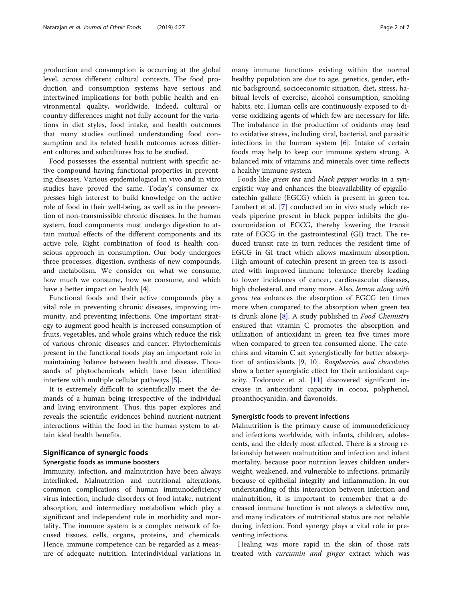production and consumption is occurring at the global level, across different cultural contexts. The food production and consumption systems have serious and intertwined implications for both public health and environmental quality, worldwide. Indeed, cultural or country differences might not fully account for the variations in diet styles, food intake, and health outcomes that many studies outlined understanding food consumption and its related health outcomes across different cultures and subcultures has to be studied.

Food possesses the essential nutrient with specific active compound having functional properties in preventing diseases. Various epidemiological in vivo and in vitro studies have proved the same. Today's consumer expresses high interest to build knowledge on the active role of food in their well-being, as well as in the prevention of non-transmissible chronic diseases. In the human system, food components must undergo digestion to attain mutual effects of the different components and its active role. Right combination of food is health conscious approach in consumption. Our body undergoes three processes, digestion, synthesis of new compounds, and metabolism. We consider on what we consume, how much we consume, how we consume, and which have a better impact on health [\[4\]](#page-5-0).

Functional foods and their active compounds play a vital role in preventing chronic diseases, improving immunity, and preventing infections. One important strategy to augment good health is increased consumption of fruits, vegetables, and whole grains which reduce the risk of various chronic diseases and cancer. Phytochemicals present in the functional foods play an important role in maintaining balance between health and disease. Thousands of phytochemicals which have been identified interfere with multiple cellular pathways [\[5](#page-5-0)].

It is extremely difficult to scientifically meet the demands of a human being irrespective of the individual and living environment. Thus, this paper explores and reveals the scientific evidences behind nutrient-nutrient interactions within the food in the human system to attain ideal health benefits.

# Significance of synergic foods

#### Synergistic foods as immune boosters

Immunity, infection, and malnutrition have been always interlinked. Malnutrition and nutritional alterations, common complications of human immunodeficiency virus infection, include disorders of food intake, nutrient absorption, and intermediary metabolism which play a significant and independent role in morbidity and mortality. The immune system is a complex network of focused tissues, cells, organs, proteins, and chemicals. Hence, immune competence can be regarded as a measure of adequate nutrition. Interindividual variations in many immune functions existing within the normal healthy population are due to age, genetics, gender, ethnic background, socioeconomic situation, diet, stress, habitual levels of exercise, alcohol consumption, smoking habits, etc. Human cells are continuously exposed to diverse oxidizing agents of which few are necessary for life. The imbalance in the production of oxidants may lead to oxidative stress, including viral, bacterial, and parasitic infections in the human system  $[6]$ . Intake of certain foods may help to keep our immune system strong. A balanced mix of vitamins and minerals over time reflects a healthy immune system.

Foods like green tea and black pepper works in a synergistic way and enhances the bioavailability of epigallocatechin gallate (EGCG) which is present in green tea. Lambert et al. [[7\]](#page-5-0) conducted an in vivo study which reveals piperine present in black pepper inhibits the glucouronidation of EGCG, thereby lowering the transit rate of EGCG in the gastrointestinal (GI) tract. The reduced transit rate in turn reduces the resident time of EGCG in GI tract which allows maximum absorption. High amount of catechin present in green tea is associated with improved immune tolerance thereby leading to lower incidences of cancer, cardiovascular diseases, high cholesterol, and many more. Also, lemon along with green tea enhances the absorption of EGCG ten times more when compared to the absorption when green tea is drunk alone  $[8]$  $[8]$ . A study published in *Food Chemistry* ensured that vitamin C promotes the absorption and utilization of antioxidant in green tea five times more when compared to green tea consumed alone. The catechins and vitamin C act synergistically for better absorption of antioxidants [\[9](#page-5-0), [10\]](#page-5-0). Raspberries and chocolates show a better synergistic effect for their antioxidant capacity. Todorovic et al. [\[11](#page-5-0)] discovered significant increase in antioxidant capacity in cocoa, polyphenol, proanthocyanidin, and flavonoids.

#### Synergistic foods to prevent infections

Malnutrition is the primary cause of immunodeficiency and infections worldwide, with infants, children, adolescents, and the elderly most affected. There is a strong relationship between malnutrition and infection and infant mortality, because poor nutrition leaves children underweight, weakened, and vulnerable to infections, primarily because of epithelial integrity and inflammation. In our understanding of this interaction between infection and malnutrition, it is important to remember that a decreased immune function is not always a defective one, and many indicators of nutritional status are not reliable during infection. Food synergy plays a vital role in preventing infections.

Healing was more rapid in the skin of those rats treated with *curcumin and ginger* extract which was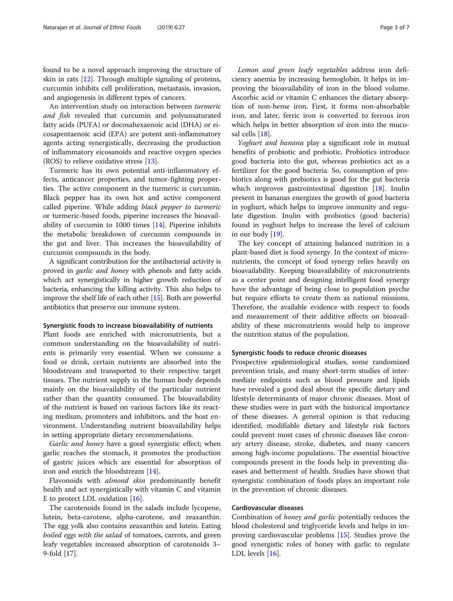found to be a novel approach improving the structure of skin in rats [\[12](#page-5-0)]. Through multiple signaling of proteins, curcumin inhibits cell proliferation, metastasis, invasion, and angiogenesis in different types of cancers.

An intervention study on interaction between turmeric and fish revealed that curcumin and polyunsaturated fatty acids (PUFA) or docosahexaenoic acid (DHA) or eicosapentaenoic acid (EPA) are potent anti-inflammatory agents acting synergistically, decreasing the production of inflammatory eicosanoids and reactive oxygen species (ROS) to relieve oxidative stress [[13\]](#page-5-0).

Turmeric has its own potential anti-inflammatory effects, anticancer properties, and tumor-fighting properties. The active component in the turmeric is curcumin. Black pepper has its own hot and active component called piperine. While adding black pepper to turmeric or turmeric-based foods, piperine increases the bioavailability of curcumin to 1000 times [[14\]](#page-5-0). Piperine inhibits the metabolic breakdown of curcumin compounds in the gut and liver. This increases the bioavailability of curcumin compounds in the body.

A significant contribution for the antibacterial activity is proved in garlic and honey with phenols and fatty acids which act synergistically in higher growth reduction of bacteria, enhancing the killing activity. This also helps to improve the shelf life of each other [\[15\]](#page-5-0). Both are powerful antibiotics that preserve our immune system.

#### Synergistic foods to increase bioavailability of nutrients

Plant foods are enriched with micronutrients, but a common understanding on the bioavailability of nutrients is primarily very essential. When we consume a food or drink, certain nutrients are absorbed into the bloodstream and transported to their respective target tissues. The nutrient supply in the human body depends mainly on the bioavailability of the particular nutrient rather than the quantity consumed. The bioavailability of the nutrient is based on various factors like its reacting medium, promoters and inhibitors, and the host environment. Understanding nutrient bioavailability helps in setting appropriate dietary recommendations.

Garlic and honey have a good synergistic effect; when garlic reaches the stomach, it promotes the production of gastric juices which are essential for absorption of iron and enrich the bloodstream [[14\]](#page-5-0).

Flavonoids with *almond skin* predominantly benefit health and act synergistically with vitamin C and vitamin E to protect LDL oxidation [\[16\]](#page-5-0).

The carotenoids found in the salads include lycopene, lutein, beta-carotene, alpha-carotene, and zeaxanthin. The egg yolk also contains zeaxanthin and lutein. Eating boiled eggs with the salad of tomatoes, carrots, and green leafy vegetables increased absorption of carotenoids 3– 9-fold [\[17\]](#page-5-0).

Lemon and green leafy vegetables address iron deficiency anemia by increasing hemoglobin. It helps in improving the bioavailability of iron in the blood volume. Ascorbic acid or vitamin C enhances the dietary absorption of non-heme iron. First, it forms non-absorbable iron, and later, ferric iron is converted to ferrous iron which helps in better absorption of iron into the mucosal cells [\[18](#page-5-0)].

Yoghurt and banana play a significant role in mutual benefits of probiotic and prebiotic. Probiotics introduce good bacteria into the gut, whereas prebiotics act as a fertilizer for the good bacteria. So, consumption of probiotics along with prebiotics is good for the gut bacteria which improves gastrointestinal digestion [[18\]](#page-5-0). Inulin present in bananas energizes the growth of good bacteria in yoghurt, which helps to improve immunity and regulate digestion. Inulin with probiotics (good bacteria) found in yoghurt helps to increase the level of calcium in our body [[19](#page-5-0)].

The key concept of attaining balanced nutrition in a plant-based diet is food synergy. In the context of micronutrients, the concept of food synergy relies heavily on bioavailability. Keeping bioavailability of micronutrients as a center point and designing intelligent food synergy have the advantage of being close to population psyche but require efforts to create them as national missions. Therefore, the available evidence with respect to foods and measurement of their additive effects on bioavailability of these micronutrients would help to improve the nutrition status of the population.

#### Synergistic foods to reduce chronic diseases

Prospective epidemiological studies, some randomized prevention trials, and many short-term studies of intermediate endpoints such as blood pressure and lipids have revealed a good deal about the specific dietary and lifestyle determinants of major chronic diseases. Most of these studies were in part with the historical importance of these diseases. A general opinion is that reducing identified, modifiable dietary and lifestyle risk factors could prevent most cases of chronic diseases like coronary artery disease, stroke, diabetes, and many cancers among high-income populations. The essential bioactive compounds present in the foods help in preventing diseases and betterment of health. Studies have shown that synergistic combination of foods plays an important role in the prevention of chronic diseases.

#### Cardiovascular diseases

Combination of honey and garlic potentially reduces the blood cholesterol and triglyceride levels and helps in improving cardiovascular problems [[15\]](#page-5-0). Studies prove the good synergistic roles of honey with garlic to regulate LDL levels [\[16\]](#page-5-0).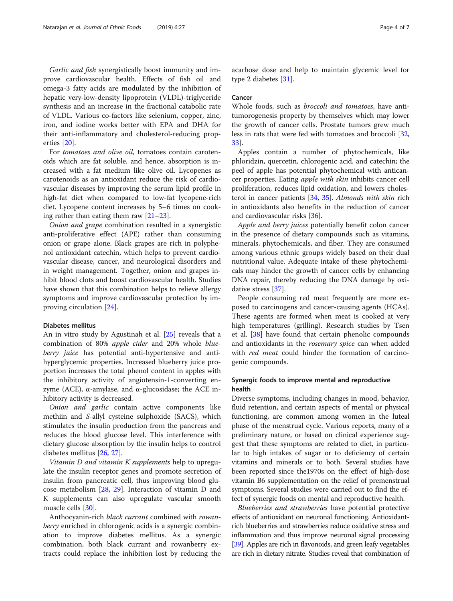Garlic and fish synergistically boost immunity and improve cardiovascular health. Effects of fish oil and omega-3 fatty acids are modulated by the inhibition of hepatic very-low-density lipoprotein (VLDL)-triglyceride synthesis and an increase in the fractional catabolic rate of VLDL. Various co-factors like selenium, copper, zinc, iron, and iodine works better with EPA and DHA for their anti-inflammatory and cholesterol-reducing properties [[20\]](#page-5-0).

For tomatoes and olive oil, tomatoes contain carotenoids which are fat soluble, and hence, absorption is increased with a fat medium like olive oil. Lycopenes as carotenoids as an antioxidant reduce the risk of cardiovascular diseases by improving the serum lipid profile in high-fat diet when compared to low-fat lycopene-rich diet. Lycopene content increases by 5–6 times on cooking rather than eating them raw [[21](#page-5-0)–[23](#page-5-0)].

Onion and grape combination resulted in a synergistic anti-proliferative effect (APE) rather than consuming onion or grape alone. Black grapes are rich in polyphenol antioxidant catechin, which helps to prevent cardiovascular disease, cancer, and neurological disorders and in weight management. Together, onion and grapes inhibit blood clots and boost cardiovascular health. Studies have shown that this combination helps to relieve allergy symptoms and improve cardiovascular protection by improving circulation [\[24](#page-6-0)].

#### Diabetes mellitus

An in vitro study by Agustinah et al. [\[25](#page-6-0)] reveals that a combination of 80% apple cider and 20% whole blueberry *juice* has potential anti-hypertensive and antihyperglycemic properties. Increased blueberry juice proportion increases the total phenol content in apples with the inhibitory activity of angiotensin-1-converting enzyme (ACE), α-amylase, and α-glucosidase; the ACE inhibitory activity is decreased.

Onion and garlic contain active components like methiin and S-allyl cysteine sulphoxide (SACS), which stimulates the insulin production from the pancreas and reduces the blood glucose level. This interference with dietary glucose absorption by the insulin helps to control diabetes mellitus [\[26](#page-6-0), [27](#page-6-0)].

Vitamin D and vitamin K supplements help to upregulate the insulin receptor genes and promote secretion of insulin from pancreatic cell, thus improving blood glucose metabolism [\[28,](#page-6-0) [29\]](#page-6-0). Interaction of vitamin D and K supplements can also upregulate vascular smooth muscle cells [\[30\]](#page-6-0).

Anthocyanin-rich black currant combined with rowanberry enriched in chlorogenic acids is a synergic combination to improve diabetes mellitus. As a synergic combination, both black currant and rowanberry extracts could replace the inhibition lost by reducing the

acarbose dose and help to maintain glycemic level for type 2 diabetes [[31\]](#page-6-0).

#### Cancer

Whole foods, such as broccoli and tomatoes, have antitumorogenesis property by themselves which may lower the growth of cancer cells. Prostate tumors grew much less in rats that were fed with tomatoes and broccoli [[32](#page-6-0), [33\]](#page-6-0).

Apples contain a number of phytochemicals, like phloridzin, quercetin, chlorogenic acid, and catechin; the peel of apple has potential phytochemical with anticancer properties. Eating apple with skin inhibits cancer cell proliferation, reduces lipid oxidation, and lowers choles-terol in cancer patients [[34,](#page-6-0) [35](#page-6-0)]. Almonds with skin rich in antioxidants also benefits in the reduction of cancer and cardiovascular risks [[36\]](#page-6-0).

Apple and berry juices potentially benefit colon cancer in the presence of dietary compounds such as vitamins, minerals, phytochemicals, and fiber. They are consumed among various ethnic groups widely based on their dual nutritional value. Adequate intake of these phytochemicals may hinder the growth of cancer cells by enhancing DNA repair, thereby reducing the DNA damage by oxidative stress [[37](#page-6-0)].

People consuming red meat frequently are more exposed to carcinogens and cancer-causing agents (HCAs). These agents are formed when meat is cooked at very high temperatures (grilling). Research studies by Tsen et al. [[38](#page-6-0)] have found that certain phenolic compounds and antioxidants in the rosemary spice can when added with *red meat* could hinder the formation of carcinogenic compounds.

### Synergic foods to improve mental and reproductive health

Diverse symptoms, including changes in mood, behavior, fluid retention, and certain aspects of mental or physical functioning, are common among women in the luteal phase of the menstrual cycle. Various reports, many of a preliminary nature, or based on clinical experience suggest that these symptoms are related to diet, in particular to high intakes of sugar or to deficiency of certain vitamins and minerals or to both. Several studies have been reported since the1970s on the effect of high-dose vitamin B6 supplementation on the relief of premenstrual symptoms. Several studies were carried out to find the effect of synergic foods on mental and reproductive health.

Blueberries and strawberries have potential protective effects of antioxidant on neuronal functioning. Antioxidantrich blueberries and strawberries reduce oxidative stress and inflammation and thus improve neuronal signal processing [[39\]](#page-6-0). Apples are rich in flavonoids, and green leafy vegetables are rich in dietary nitrate. Studies reveal that combination of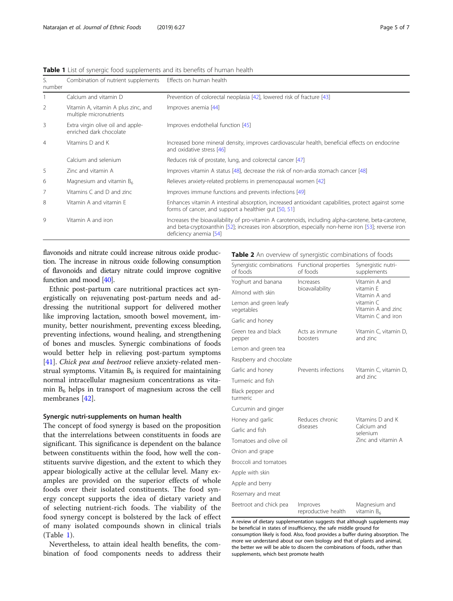|  | r ayc u |  |
|--|---------|--|
|  |         |  |
|  |         |  |

| S.<br>number   | Combination of nutrient supplements                            | Effects on human health                                                                                                                                                                                                               |
|----------------|----------------------------------------------------------------|---------------------------------------------------------------------------------------------------------------------------------------------------------------------------------------------------------------------------------------|
|                | Calcium and vitamin D                                          | Prevention of colorectal neoplasia [42], lowered risk of fracture [43]                                                                                                                                                                |
| 2              | Vitamin A, vitamin A plus zinc, and<br>multiple micronutrients | Improves anemia [44]                                                                                                                                                                                                                  |
| 3              | Extra virgin olive oil and apple-<br>enriched dark chocolate   | Improves endothelial function [45]                                                                                                                                                                                                    |
| $\overline{4}$ | Vitamins D and K                                               | Increased bone mineral density, improves cardiovascular health, beneficial effects on endocrine<br>and oxidative stress [46]                                                                                                          |
|                | Calcium and selenium                                           | Reduces risk of prostate, lung, and colorectal cancer [47]                                                                                                                                                                            |
| 5              | Zinc and vitamin A                                             | Improves vitamin A status [48], decrease the risk of non-ardia stomach cancer [48]                                                                                                                                                    |
| 6              | Magnesium and vitamin $B_6$                                    | Relieves anxiety-related problems in premenopausal women [42]                                                                                                                                                                         |
| 7              | Vitamins C and D and zinc                                      | Improves immune functions and prevents infections [49]                                                                                                                                                                                |
| 8              | Vitamin A and vitamin E                                        | Enhances vitamin A intestinal absorption, increased antioxidant capabilities, protect against some<br>forms of cancer, and support a healthier gut [50, 51]                                                                           |
| 9              | Vitamin A and iron                                             | Increases the bioavailability of pro-vitamin A carotenoids, including alpha-carotene, beta-carotene,<br>and beta-cryptoxanthin [52]; increases iron absorption, especially non-heme iron [53]; reverse iron<br>deficiency anemia [54] |

<span id="page-4-0"></span>Table 1 List of synergic food supplements and its benefits of human health

flavonoids and nitrate could increase nitrous oxide production. The increase in nitrous oxide following consumption of flavonoids and dietary nitrate could improve cognitive function and mood [[40](#page-6-0)].

Ethnic post-partum care nutritional practices act synergistically on rejuvenating post-partum needs and addressing the nutritional support for delivered mother like improving lactation, smooth bowel movement, immunity, better nourishment, preventing excess bleeding, preventing infections, wound healing, and strengthening of bones and muscles. Synergic combinations of foods would better help in relieving post-partum symptoms [[41\]](#page-6-0). Chick pea and beetroot relieve anxiety-related menstrual symptoms. Vitamin  $B_6$  is required for maintaining normal intracellular magnesium concentrations as vitamin  $B_6$  helps in transport of magnesium across the cell membranes [\[42](#page-6-0)].

#### Synergic nutri-supplements on human health

The concept of food synergy is based on the proposition that the interrelations between constituents in foods are significant. This significance is dependent on the balance between constituents within the food, how well the constituents survive digestion, and the extent to which they appear biologically active at the cellular level. Many examples are provided on the superior effects of whole foods over their isolated constituents. The food synergy concept supports the idea of dietary variety and of selecting nutrient-rich foods. The viability of the food synergy concept is bolstered by the lack of effect of many isolated compounds shown in clinical trials (Table 1).

Nevertheless, to attain ideal health benefits, the combination of food components needs to address their Table 2 An overview of synergistic combinations of foods

| Synergistic combinations<br>of foods | Functional properties<br>of foods | Synergistic nutri-<br>supplements                                                                    |  |
|--------------------------------------|-----------------------------------|------------------------------------------------------------------------------------------------------|--|
| Yoghurt and banana                   | Increases                         | Vitamin A and<br>vitamin F<br>Vitamin A and<br>vitamin C<br>Vitamin A and zinc<br>Vitamin C and iron |  |
| Almond with skin                     | bioavailability                   |                                                                                                      |  |
| Lemon and green leafy<br>vegetables  |                                   |                                                                                                      |  |
| Garlic and honey                     |                                   |                                                                                                      |  |
| Green tea and black<br>pepper        | Acts as immune<br>boosters        | Vitamin C, vitamin D,<br>and zinc                                                                    |  |
| Lemon and green tea                  |                                   |                                                                                                      |  |
| Raspberry and chocolate              |                                   |                                                                                                      |  |
| Garlic and honey                     | Prevents infections               | Vitamin C, vitamin D,                                                                                |  |
| Turmeric and fish                    |                                   | and zinc                                                                                             |  |
| Black pepper and<br>turmeric         |                                   |                                                                                                      |  |
| Curcumin and ginger                  |                                   |                                                                                                      |  |
| Honey and garlic                     | Reduces chronic                   | Vitamins D and K<br>Calcium and<br>selenium<br>Zinc and vitamin A                                    |  |
| Garlic and fish                      | diseases                          |                                                                                                      |  |
| Tomatoes and olive oil               |                                   |                                                                                                      |  |
| Onion and grape                      |                                   |                                                                                                      |  |
| Broccoli and tomatoes                |                                   |                                                                                                      |  |
| Apple with skin                      |                                   |                                                                                                      |  |
| Apple and berry                      |                                   |                                                                                                      |  |
| Rosemary and meat                    |                                   |                                                                                                      |  |
| Beetroot and chick pea               | Improves<br>reproductive health   | Magnesium and<br>vitamin $B_6$                                                                       |  |

A review of dietary supplementation suggests that although supplements may be beneficial in states of insufficiency, the safe middle ground for consumption likely is food. Also, food provides a buffer during absorption. The more we understand about our own biology and that of plants and animal, the better we will be able to discern the combinations of foods, rather than supplements, which best promote health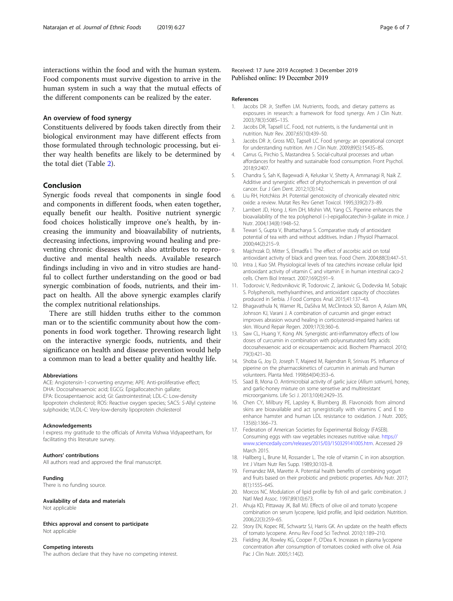<span id="page-5-0"></span>interactions within the food and with the human system. Food components must survive digestion to arrive in the human system in such a way that the mutual effects of the different components can be realized by the eater.

#### An overview of food synergy

Constituents delivered by foods taken directly from their biological environment may have different effects from those formulated through technologic processing, but either way health benefits are likely to be determined by the total diet (Table [2](#page-4-0)).

#### Conclusion

Synergic foods reveal that components in single food and components in different foods, when eaten together, equally benefit our health. Positive nutrient synergic food choices holistically improve one's health, by increasing the immunity and bioavailability of nutrients, decreasing infections, improving wound healing and preventing chronic diseases which also attributes to reproductive and mental health needs. Available research findings including in vivo and in vitro studies are handful to collect further understanding on the good or bad synergic combination of foods, nutrients, and their impact on health. All the above synergic examples clarify the complex nutritional relationships.

There are still hidden truths either to the common man or to the scientific community about how the components in food work together. Throwing research light on the interactive synergic foods, nutrients, and their significance on health and disease prevention would help a common man to lead a better quality and healthy life.

#### Abbreviations

ACE: Angiotensin-1-converting enzyme; APE: Anti-proliferative effect; DHA: Docosahexaenoic acid; EGCG: Epigallocatechin gallate; EPA: Eicosapentaenoic acid; GI: Gastrointestinal; LDL-C: Low-density lipoprotein cholesterol; ROS: Reactive oxygen species; SACS: S-Allyl cysteine sulphoxide; VLDL-C: Very-low-density lipoprotein cholesterol

#### Acknowledgements

I express my gratitude to the officials of Amrita Vishwa Vidyapeetham, for facilitating this literature survey.

#### Authors' contributions

All authors read and approved the final manuscript.

#### Funding

There is no funding source.

# Availability of data and materials

Not applicable

#### Ethics approval and consent to participate Not applicable

#### Competing interests

The authors declare that they have no competing interest.

Received: 17 June 2019 Accepted: 3 December 2019 Published online: 19 December 2019

#### References

- 1. Jacobs DR Jr, Steffen LM. Nutrients, foods, and dietary patterns as exposures in research: a framework for food synergy. Am J Clin Nutr. 2003;78(3):508S–13S.
- 2. Jacobs DR, Tapsell LC. Food, not nutrients, is the fundamental unit in nutrition. Nutr Rev. 2007;65(10):439–50.
- 3. Jacobs DR Jr, Gross MD, Tapsell LC. Food synergy: an operational concept for understanding nutrition. Am J Clin Nutr. 2009;89(5):1543S-8S.
- 4. Carrus G, Pirchio S, Mastandrea S. Social-cultural processes and urban affordances for healthy and sustainable food consumption. Front Psychol. 2018;9:2407.
- 5. Chandra S, Sah K, Bagewadi A, Keluskar V, Shetty A, Ammanagi R, Naik Z. Additive and synergistic effect of phytochemicals in prevention of oral cancer. Eur J Gen Dent. 2012;1(3):142.
- 6. Liu RH, Hotchkiss JH. Potential genotoxicity of chronically elevated nitric oxide: a review. Mutat Res Rev Genet Toxicol. 1995;339(2):73–89.
- 7. Lambert JD, Hong J, Kim DH, Mishin VM, Yang CS. Piperine enhances the bioavailability of the tea polyphenol (−)-epigallocatechin-3-gallate in mice. J Nutr. 2004;134(8):1948–52.
- 8. Tewari S, Gupta V, Bhattacharya S. Comparative study of antioxidant potential of tea with and without additives. Indian J Physiol Pharmacol. 2000;44(2):215–9.
- 9. Majchrzak D, Mitter S, Elmadfa I. The effect of ascorbic acid on total antioxidant activity of black and green teas. Food Chem. 2004;88(3):447–51.
- 10. Intra J, Kuo SM. Physiological levels of tea catechins increase cellular lipid antioxidant activity of vitamin C and vitamin E in human intestinal caco-2 cells. Chem Biol Interact. 2007;169(2):91–9.
- 11. Todorovic V, Redovnikovic IR, Todorovic Z, Jankovic G, Dodevska M, Sobajic S. Polyphenols, methylxanthines, and antioxidant capacity of chocolates produced in Serbia. J Food Compos Anal. 2015;41:137–43.
- 12. Bhagavathula N, Warner RL, DaSilva M, McClintock SD, Barron A, Aslam MN, Johnson KJ, Varani J. A combination of curcumin and ginger extract improves abrasion wound healing in corticosteroid-impaired hairless rat skin. Wound Repair Regen. 2009;17(3):360–6.
- 13. Saw CL, Huang Y, Kong AN. Synergistic anti-inflammatory effects of low doses of curcumin in combination with polyunsaturated fatty acids: docosahexaenoic acid or eicosapentaenoic acid. Biochem Pharmacol. 2010; 79(3):421–30.
- 14. Shoba G, Joy D, Joseph T, Majeed M, Rajendran R, Srinivas PS. Influence of piperine on the pharmacokinetics of curcumin in animals and human volunteers. Planta Med. 1998;64(04):353–6.
- 15. Saad B, Mona O. Antimicrobial activity of garlic juice (Allium sativum), honey, and garlic-honey mixture on some sensetive and multiresistant microorganisms. Life Sci J. 2013;10(4):2429–35.
- 16. Chen CY, Milbury PE, Lapsley K, Blumberg JB. Flavonoids from almond skins are bioavailable and act synergistically with vitamins C and E to enhance hamster and human LDL resistance to oxidation. J Nutr. 2005; 135(6):1366–73.
- 17. Federation of American Societies for Experimental Biology (FASEB). Consuming eggs with raw vegetables increases nutritive value. [https://](https://www.sciencedaily.com/releases/2015/03/150329141005.htm) [www.sciencedaily.com/releases/2015/03/150329141005.htm.](https://www.sciencedaily.com/releases/2015/03/150329141005.htm) Accessed 29 March 2015.
- 18. Hallberg L, Brune M, Rossander L. The role of vitamin C in iron absorption. Int J Vitam Nutr Res Supp. 1989;30:103–8.
- 19. Fernandez MA, Marette A. Potential health benefits of combining yogurt and fruits based on their probiotic and prebiotic properties. Adv Nutr. 2017; 8(1):155S–64S.
- 20. Morcos NC. Modulation of lipid profile by fish oil and garlic combination. J Natl Med Assoc. 1997;89(10):673.
- 21. Ahuja KD, Pittaway JK, Ball MJ. Effects of olive oil and tomato lycopene combination on serum lycopene, lipid profile, and lipid oxidation. Nutrition. 2006;22(3):259–65.
- 22. Story EN, Kopec RE, Schwartz SJ, Harris GK. An update on the health effects of tomato lycopene. Annu Rev Food Sci Technol. 2010;1:189–210.
- 23. Fielding JM, Rowley KG, Cooper P, O'Dea K. Increases in plasma lycopene concentration after consumption of tomatoes cooked with olive oil. Asia Pac J Clin Nutr. 2005;1:14(2).